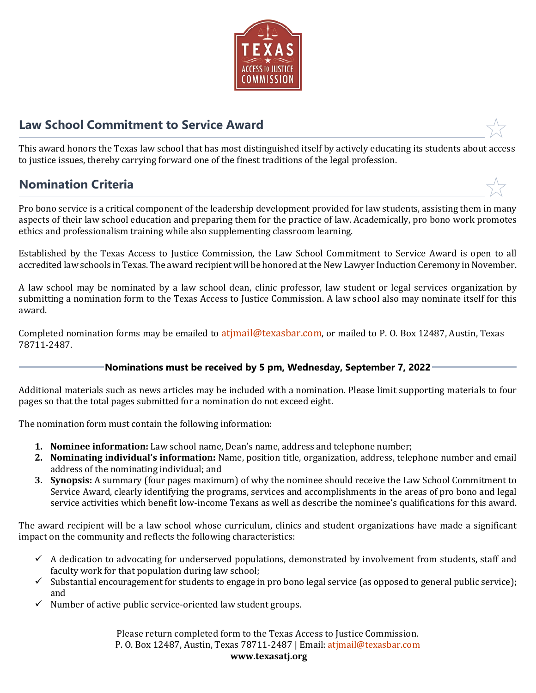

# **Law School Commitment to Service Award**

This award honors the Texas law school that has most distinguished itself by actively educating its students about access to justice issues, thereby carrying forward one of the finest traditions of the legal profession.

## **Nomination Criteria**

Pro bono service is a critical component of the leadership development provided for law students, assisting them in many aspects of their law school education and preparing them for the practice of law. Academically, pro bono work promotes ethics and professionalism training while also supplementing classroom learning.

Established by the Texas Access to Justice Commission, the Law School Commitment to Service Award is open to all accredited law schools in Texas. The award recipient will be honored at the New Lawyer Induction Ceremony in November.

A law school may be nominated by a law school dean, clinic professor, law student or legal services organization by submitting a nomination form to the Texas Access to Justice Commission. A law school also may nominate itself for this award.

Completed nomination forms may be emailed to atimail@texasbar.com, or mailed to P. O. Box 12487, Austin, Texas 78711-2487.

### **Nominations must be received by 5 pm, Wednesday, September 7, 2022**

Additional materials such as news articles may be included with a nomination. Please limit supporting materials to four pages so that the total pages submitted for a nomination do not exceed eight.

The nomination form must contain the following information:

- **1. Nominee information:** Law school name, Dean's name, address and telephone number;
- **2. Nominating individual's information:** Name, position title, organization, address, telephone number and email address of the nominating individual; and
- **3. Synopsis:** A summary (four pages maximum) of why the nominee should receive the Law School Commitment to Service Award, clearly identifying the programs, services and accomplishments in the areas of pro bono and legal service activities which benefit low-income Texans as well as describe the nominee's qualifications for this award.

The award recipient will be a law school whose curriculum, clinics and student organizations have made a significant impact on the community and reflects the following characteristics:

- $\checkmark$  A dedication to advocating for underserved populations, demonstrated by involvement from students, staff and faculty work for that population during law school;
- $\checkmark$  Substantial encouragement for students to engage in pro bono legal service (as opposed to general public service); and
- $\checkmark$  Number of active public service-oriented law student groups.

Please return completed form to the Texas Access to Justice Commission. P. O. Box 12487, Austin, Texas 78711-2487 | Email: atjmail@t[exasbar.com](mailto:atjmail@texasbar.com) **www.texasatj.org**